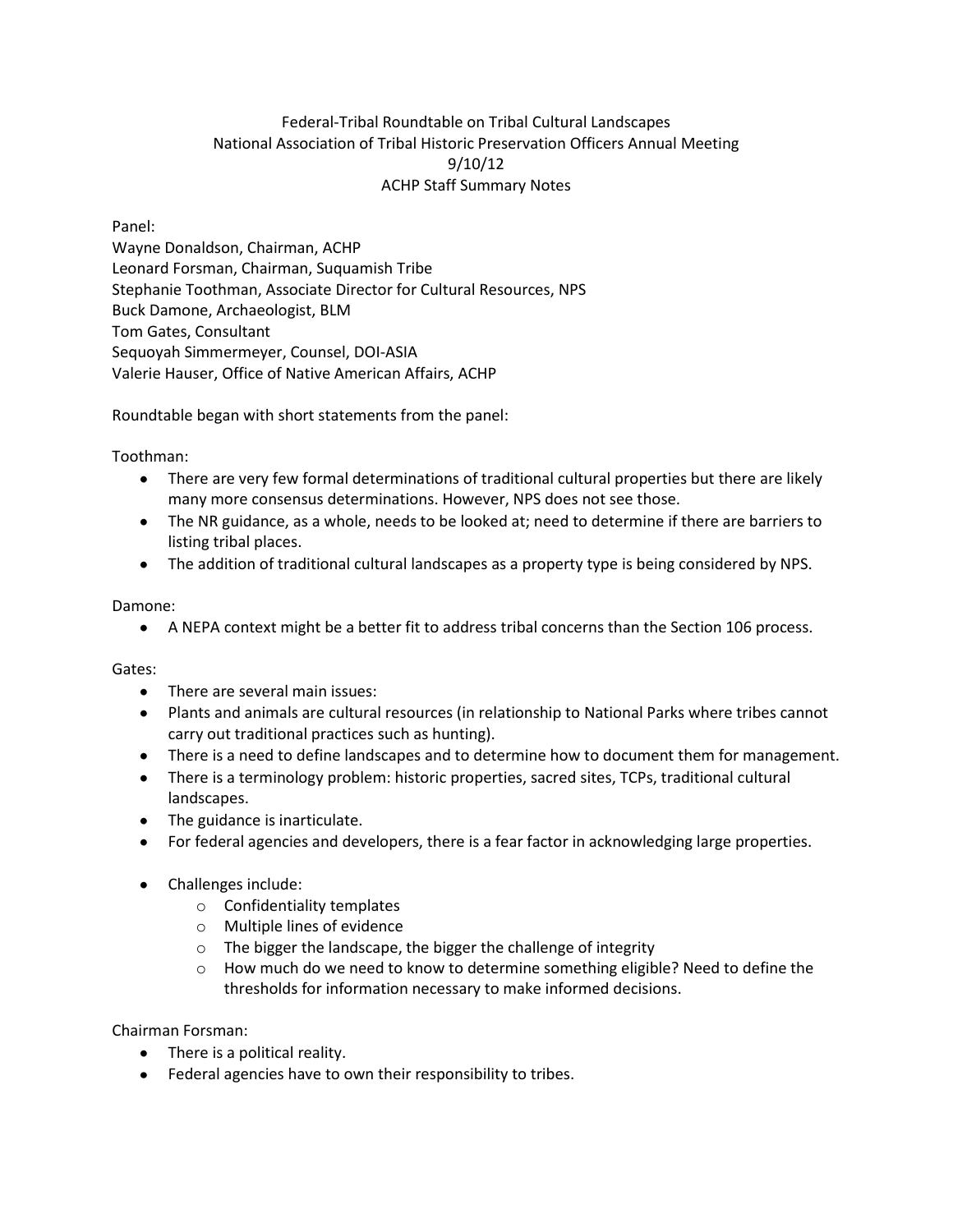## Federal-Tribal Roundtable on Tribal Cultural Landscapes National Association of Tribal Historic Preservation Officers Annual Meeting 9/10/12 ACHP Staff Summary Notes

Panel:

Wayne Donaldson, Chairman, ACHP Leonard Forsman, Chairman, Suquamish Tribe Stephanie Toothman, Associate Director for Cultural Resources, NPS Buck Damone, Archaeologist, BLM Tom Gates, Consultant Sequoyah Simmermeyer, Counsel, DOI-ASIA Valerie Hauser, Office of Native American Affairs, ACHP

Roundtable began with short statements from the panel:

Toothman:

- There are very few formal determinations of traditional cultural properties but there are likely many more consensus determinations. However, NPS does not see those.
- The NR guidance, as a whole, needs to be looked at; need to determine if there are barriers to listing tribal places.
- The addition of traditional cultural landscapes as a property type is being considered by NPS.

Damone:

 $\bullet$ A NEPA context might be a better fit to address tribal concerns than the Section 106 process.

Gates:

- There are several main issues:
- Plants and animals are cultural resources (in relationship to National Parks where tribes cannot carry out traditional practices such as hunting).
- There is a need to define landscapes and to determine how to document them for management.
- There is a terminology problem: historic properties, sacred sites, TCPs, traditional cultural landscapes.
- The guidance is inarticulate.
- For federal agencies and developers, there is a fear factor in acknowledging large properties.
- Challenges include:
	- o Confidentiality templates
	- o Multiple lines of evidence
	- o The bigger the landscape, the bigger the challenge of integrity
	- $\circ$  How much do we need to know to determine something eligible? Need to define the thresholds for information necessary to make informed decisions.

Chairman Forsman:

- There is a political reality.
- Federal agencies have to own their responsibility to tribes.